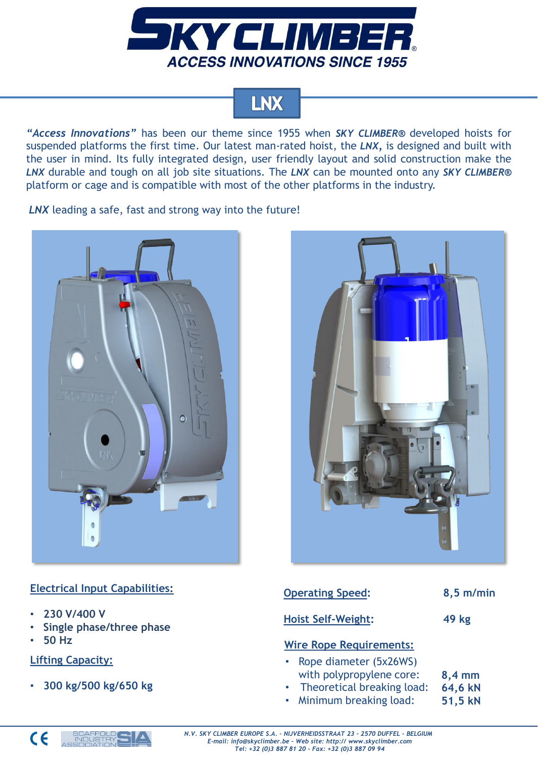

# LNX

*"Access Innovations"* has been our theme since 1955 when *SKY CLIMBER®* developed hoists for suspended platforms the first time. Our latest man-rated hoist, the *LNX,* is designed and built with the user in mind. Its fully integrated design, user friendly layout and solid construction make the *LNX* durable and tough on all job site situations. The *LNX* can be mounted onto any *SKY CLIMBER®* platform or cage and is compatible with most of the other platforms in the industry.

*LNX* leading a safe, fast and strong way into the future!





## **Electrical Input Capabilities:**

- **230 V/400 V**
- **Single phase/three phase**
- **50 Hz**

## **Lifting Capacity:**

• **300 kg/500 kg/650 kg**

| <b>Operating Speed:</b>                                           | $8,5$ m/min      |
|-------------------------------------------------------------------|------------------|
| <b>Hoist Self-Weight:</b>                                         | 49 kg            |
| <b>Wire Rope Requirements:</b>                                    |                  |
| Rope diameter (5x26WS)<br>$\bullet$ .<br>with polypropylong caro: | $9.4 \text{ mm}$ |

- with polypropylene core: • Theoretical breaking load: **8,4 mm 64,6 kN**
- Minimum breaking load: **51,5 kN**

*N.V. SKY CLIMBER EUROPE S.A. – NIJVERHEIDSSTRAAT 23 – 2570 DUFFEL – BELGIUM E-mail: info@skyclimber.be – Web site: http:// www.skyclimber.com Tel: +32 (0)3 887 81 20 – Fax: +32 (0)3 887 09 94*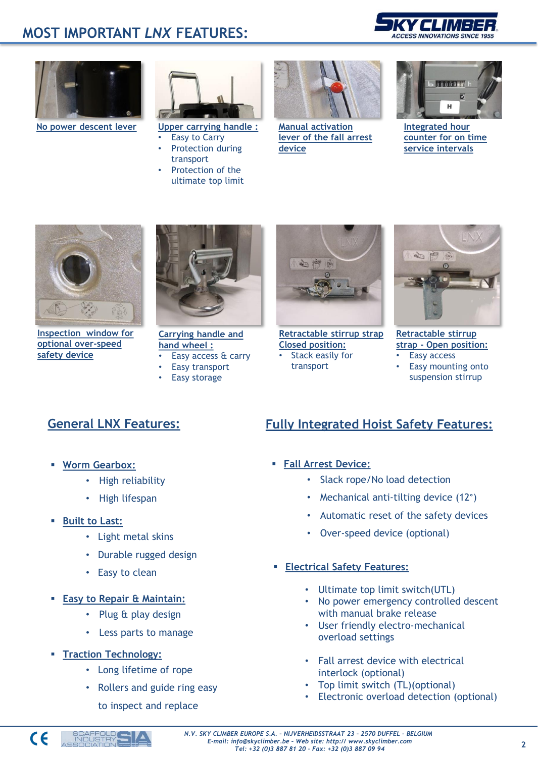# **MOST IMPORTANT** *LNX* **FEATURES:**





**No power descent lever**



**Upper carrying handle : Easy to Carry** 

- Protection during transport
- Protection of the ultimate top limit



**Manual activation lever of the fall arrest device**



**Integrated hour counter for on time service intervals**



**Inspection window for optional over-speed safety device**



**Carrying handle and hand wheel :** • Easy access & carry

- Easy transport
- 
- **Easy storage**



**Retractable stirrup strap Closed position:** Stack easily for transport



**Retractable stirrup strap - Open position:** • Easy access

• Easy mounting onto suspension stirrup

- **Worm Gearbox:**
	- High reliability
	- High lifespan
- **Built to Last:**
	- Light metal skins
	- Durable rugged design
	- Easy to clean
- **Easy to Repair & Maintain:**
	- Plug & play design
	- Less parts to manage
- **Traction Technology:**
	- Long lifetime of rope
	- Rollers and guide ring easy
		- to inspect and replace

# **General LNX Features: Fully Integrated Hoist Safety Features:**

- **Fall Arrest Device:**
	- Slack rope/No load detection
	- Mechanical anti-tilting device (12°)
	- Automatic reset of the safety devices
	- Over-speed device (optional)
- **Electrical Safety Features:**
	- Ultimate top limit switch(UTL)
	- No power emergency controlled descent with manual brake release
	- User friendly electro-mechanical overload settings
	- Fall arrest device with electrical interlock (optional)
	- Top limit switch (TL)(optional)
	- Electronic overload detection (optional)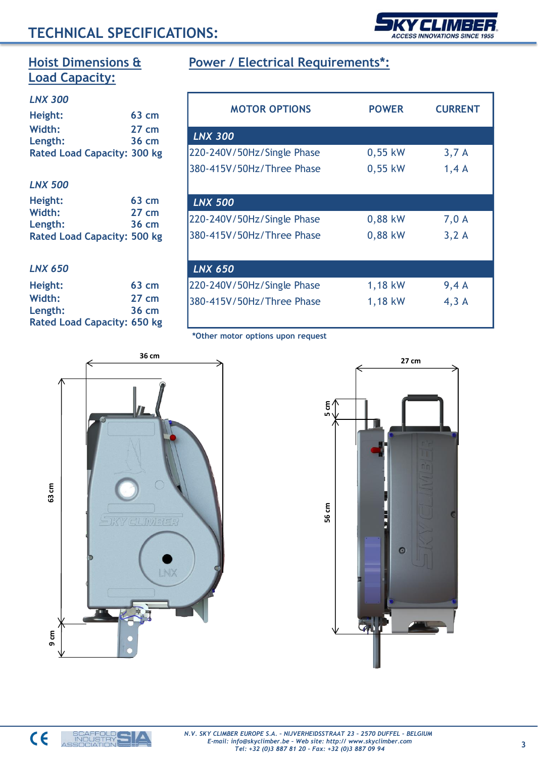# **TECHNICAL SPECIFICATIONS:**

| ƏKYCLIMBER                           |  |
|--------------------------------------|--|
|                                      |  |
| <b>ACCESS INNOVATIONS SINCE 1955</b> |  |
|                                      |  |

# **Hoist Dimensions & Load Capacity:**

#### *LNX 300*

| Height:                            | $63 \text{ cm}$ |
|------------------------------------|-----------------|
| Width:                             | $27 \text{ cm}$ |
| Length:                            | $36 \text{ cm}$ |
| <b>Rated Load Capacity: 300 kg</b> |                 |

#### *LNX 500*

| Height:                            | $63 \text{ cm}$ |
|------------------------------------|-----------------|
| Width:                             | $27 \text{ cm}$ |
| Length:                            | $36 \text{ cm}$ |
| <b>Rated Load Capacity: 500 kg</b> |                 |

#### *LNX 650*

| Height:                            | $63 \text{ cm}$ |
|------------------------------------|-----------------|
| Width:                             | $27 \text{ cm}$ |
| Length:                            | 36 cm           |
| <b>Rated Load Capacity: 650 kg</b> |                 |

# **Power / Electrical Requirements\*:**

| <b>MOTOR OPTIONS</b>       | <b>POWER</b> | <b>CURRENT</b> |
|----------------------------|--------------|----------------|
| <b>LNX 300</b>             |              |                |
| 220-240V/50Hz/Single Phase | $0,55$ kW    | 3,7A           |
| 380-415V/50Hz/Three Phase  | $0,55$ kW    | 1,4A           |
| <b>LNX 500</b>             |              |                |
| 220-240V/50Hz/Single Phase | 0,88 kW      | 7,0 A          |
| 380-415V/50Hz/Three Phase  | 0,88 kW      | 3,2A           |
| <b>LNX 650</b>             |              |                |
| 220-240V/50Hz/Single Phase | 1,18 kW      | 9,4A           |
| 380-415V/50Hz/Three Phase  | 1,18 kW      | 4,3A           |

#### **\*Other motor options upon request**